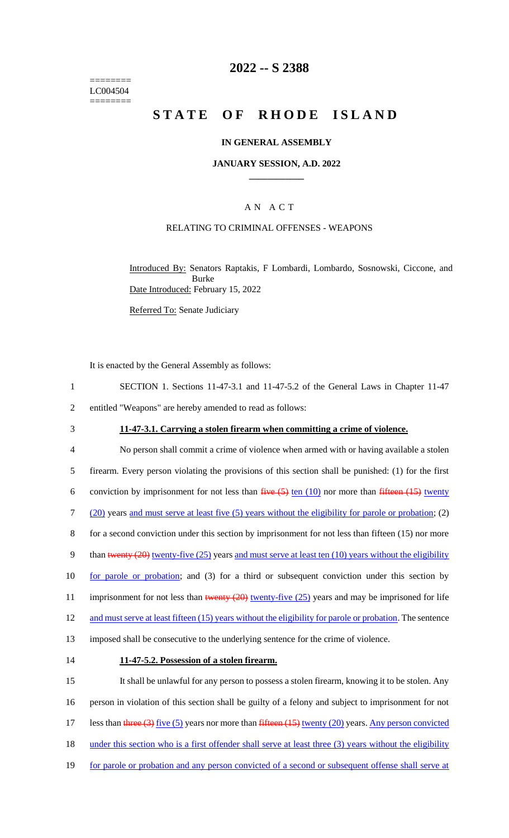======== LC004504 ========

## **2022 -- S 2388**

# **STATE OF RHODE ISLAND**

#### **IN GENERAL ASSEMBLY**

#### **JANUARY SESSION, A.D. 2022 \_\_\_\_\_\_\_\_\_\_\_\_**

## A N A C T

#### RELATING TO CRIMINAL OFFENSES - WEAPONS

Introduced By: Senators Raptakis, F Lombardi, Lombardo, Sosnowski, Ciccone, and Burke Date Introduced: February 15, 2022

Referred To: Senate Judiciary

It is enacted by the General Assembly as follows:

| SECTION 1. Sections 11-47-3.1 and 11-47-5.2 of the General Laws in Chapter 11-47 |
|----------------------------------------------------------------------------------|
| entitled "Weapons" are hereby amended to read as follows:                        |

## 3 **11-47-3.1. Carrying a stolen firearm when committing a crime of violence.**

4 No person shall commit a crime of violence when armed with or having available a stolen 5 firearm. Every person violating the provisions of this section shall be punished: (1) for the first 6 conviction by imprisonment for not less than  $\frac{five(5)}{10}$  ten (10) nor more than  $\frac{fifteen(15)}{10}$  twenty 7 (20) years and must serve at least five (5) years without the eligibility for parole or probation; (2) 8 for a second conviction under this section by imprisonment for not less than fifteen (15) nor more 9 than twenty (20) twenty-five (25) years and must serve at least ten (10) years without the eligibility 10 for parole or probation; and (3) for a third or subsequent conviction under this section by 11 imprisonment for not less than twenty  $(20)$  twenty-five  $(25)$  years and may be imprisoned for life 12 and must serve at least fifteen (15) years without the eligibility for parole or probation. The sentence 13 imposed shall be consecutive to the underlying sentence for the crime of violence.

#### 14 **11-47-5.2. Possession of a stolen firearm.**

15 It shall be unlawful for any person to possess a stolen firearm, knowing it to be stolen. Any 16 person in violation of this section shall be guilty of a felony and subject to imprisonment for not 17 less than three (3) five (5) years nor more than fifteen (15) twenty (20) years. Any person convicted 18 under this section who is a first offender shall serve at least three (3) years without the eligibility 19 for parole or probation and any person convicted of a second or subsequent offense shall serve at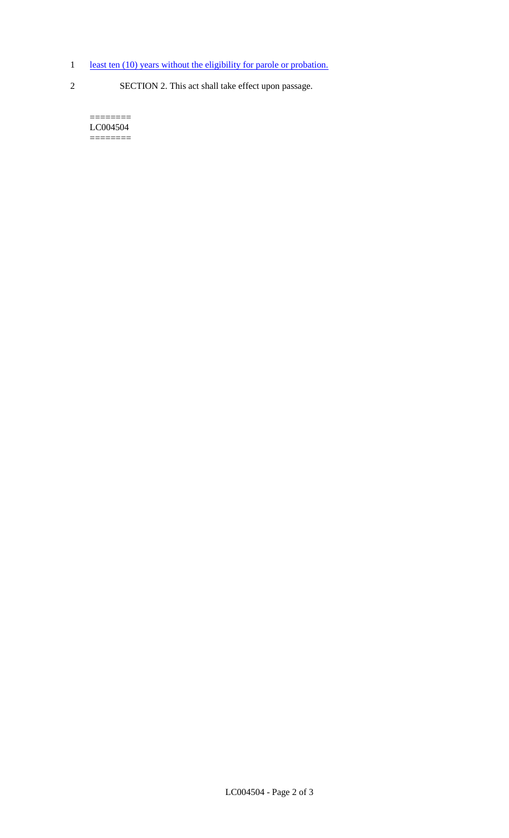- 1 least ten (10) years without the eligibility for parole or probation.
- 
- 2 SECTION 2. This act shall take effect upon passage.

 $=$ LC004504 ========